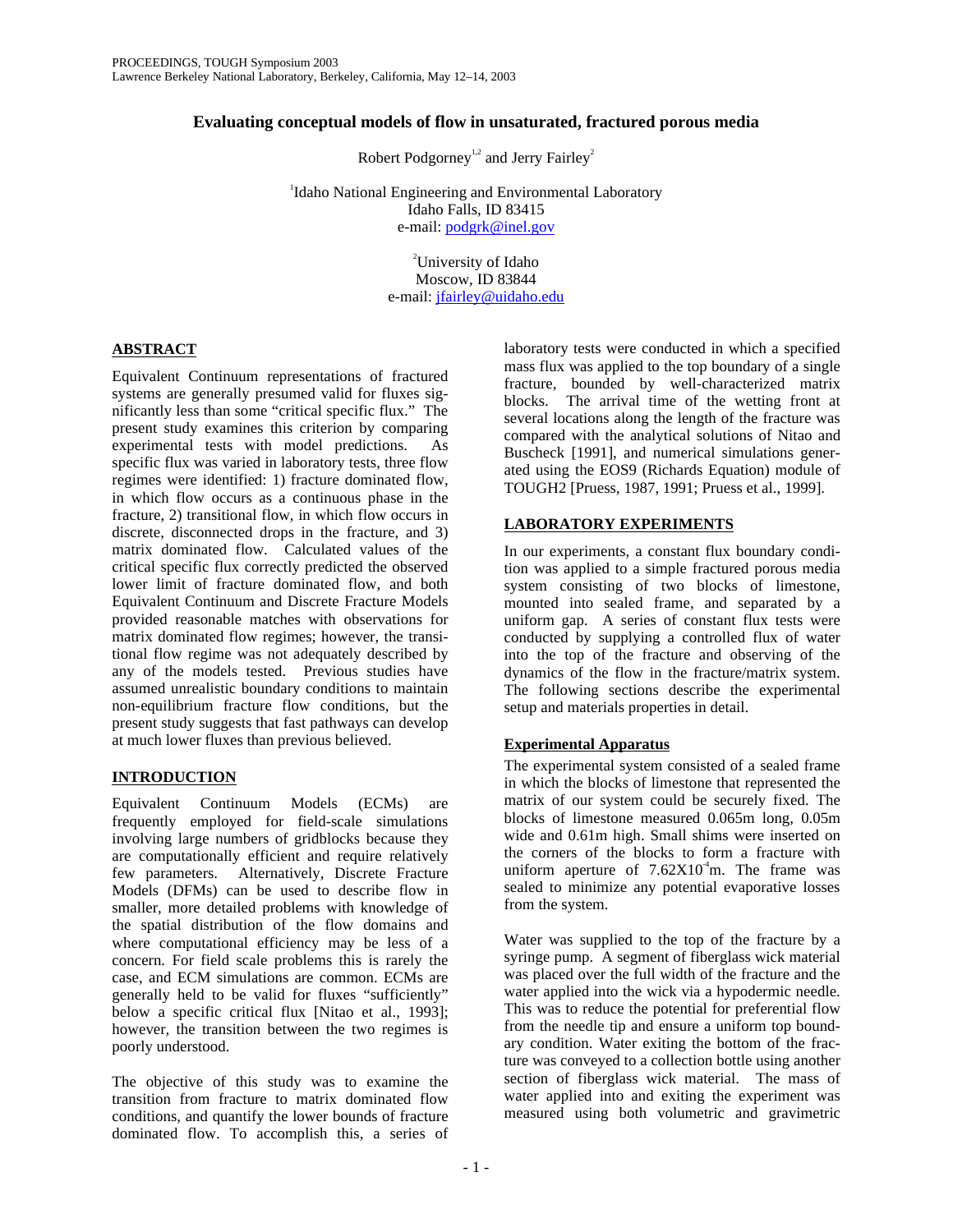# **Evaluating conceptual models of flow in unsaturated, fractured porous media**

Robert Podgorney<sup>1,2</sup> and Jerry Fairley<sup>2</sup>

<sup>1</sup>Idaho National Engineering and Environmental Laboratory Idaho Falls, ID 83415 e-mail: podgrk@inel.gov

> <sup>2</sup>University of Idaho Moscow, ID 83844 e-mail: jfairley@uidaho.edu

# **ABSTRACT**

Equivalent Continuum representations of fractured systems are generally presumed valid for fluxes significantly less than some "critical specific flux." The present study examines this criterion by comparing experimental tests with model predictions. As specific flux was varied in laboratory tests, three flow regimes were identified: 1) fracture dominated flow, in which flow occurs as a continuous phase in the fracture, 2) transitional flow, in which flow occurs in discrete, disconnected drops in the fracture, and 3) matrix dominated flow. Calculated values of the critical specific flux correctly predicted the observed lower limit of fracture dominated flow, and both Equivalent Continuum and Discrete Fracture Models provided reasonable matches with observations for matrix dominated flow regimes; however, the transitional flow regime was not adequately described by any of the models tested. Previous studies have assumed unrealistic boundary conditions to maintain non-equilibrium fracture flow conditions, but the present study suggests that fast pathways can develop at much lower fluxes than previous believed.

# **INTRODUCTION**

Equivalent Continuum Models (ECMs) are frequently employed for field-scale simulations involving large numbers of gridblocks because they are computationally efficient and require relatively few parameters. Alternatively, Discrete Fracture Models (DFMs) can be used to describe flow in smaller, more detailed problems with knowledge of the spatial distribution of the flow domains and where computational efficiency may be less of a concern. For field scale problems this is rarely the case, and ECM simulations are common. ECMs are generally held to be valid for fluxes "sufficiently" below a specific critical flux [Nitao et al., 1993]; however, the transition between the two regimes is poorly understood.

The objective of this study was to examine the transition from fracture to matrix dominated flow conditions, and quantify the lower bounds of fracture dominated flow. To accomplish this, a series of

laboratory tests were conducted in which a specified mass flux was applied to the top boundary of a single fracture, bounded by well-characterized matrix blocks. The arrival time of the wetting front at several locations along the length of the fracture was compared with the analytical solutions of Nitao and Buscheck [1991], and numerical simulations generated using the EOS9 (Richards Equation) module of TOUGH2 [Pruess, 1987, 1991; Pruess et al., 1999].

# **LABORATORY EXPERIMENTS**

In our experiments, a constant flux boundary condition was applied to a simple fractured porous media system consisting of two blocks of limestone, mounted into sealed frame, and separated by a uniform gap. A series of constant flux tests were conducted by supplying a controlled flux of water into the top of the fracture and observing of the dynamics of the flow in the fracture/matrix system. The following sections describe the experimental setup and materials properties in detail.

## **Experimental Apparatus**

The experimental system consisted of a sealed frame in which the blocks of limestone that represented the matrix of our system could be securely fixed. The blocks of limestone measured 0.065m long, 0.05m wide and 0.61m high. Small shims were inserted on the corners of the blocks to form a fracture with uniform aperture of  $7.62 \times 10^{-4}$ m. The frame was sealed to minimize any potential evaporative losses from the system.

Water was supplied to the top of the fracture by a syringe pump. A segment of fiberglass wick material was placed over the full width of the fracture and the water applied into the wick via a hypodermic needle. This was to reduce the potential for preferential flow from the needle tip and ensure a uniform top boundary condition. Water exiting the bottom of the fracture was conveyed to a collection bottle using another section of fiberglass wick material. The mass of water applied into and exiting the experiment was measured using both volumetric and gravimetric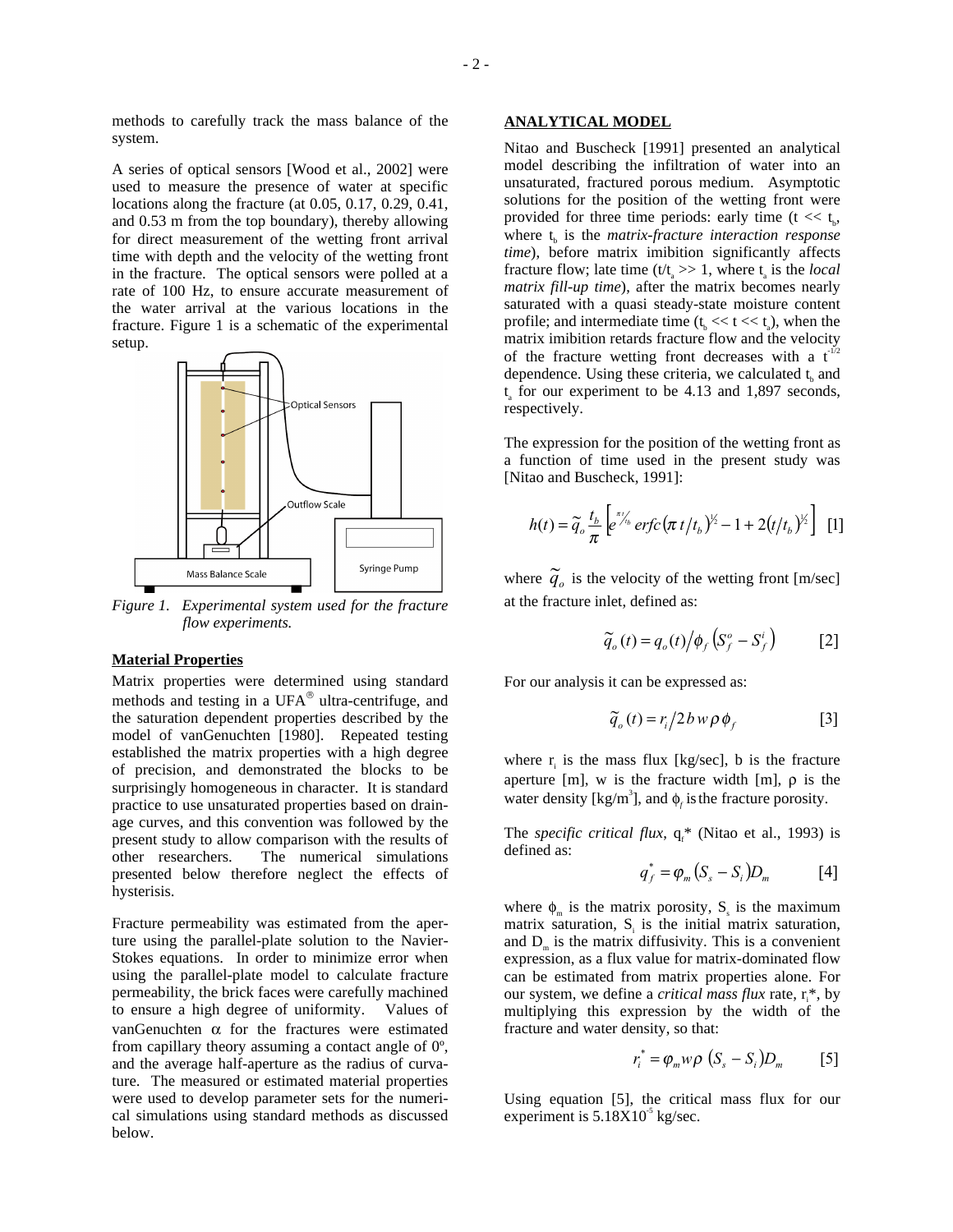A series of optical sensors [Wood et al., 2002] were used to measure the presence of water at specific locations along the fracture (at 0.05, 0.17, 0.29, 0.41, and 0.53 m from the top boundary), thereby allowing for direct measurement of the wetting front arrival time with depth and the velocity of the wetting front in the fracture. The optical sensors were polled at a rate of 100 Hz, to ensure accurate measurement of the water arrival at the various locations in the fracture. Figure 1 is a schematic of the experimental setup.



*Figure 1. Experimental system used for the fracture flow experiments.* 

#### **Material Properties**

Matrix properties were determined using standard methods and testing in a  $UFA^{\circledast}$  ultra-centrifuge, and the saturation dependent properties described by the model of vanGenuchten [1980]. Repeated testing established the matrix properties with a high degree of precision, and demonstrated the blocks to be surprisingly homogeneous in character. It is standard practice to use unsaturated properties based on drainage curves, and this convention was followed by the present study to allow comparison with the results of other researchers. The numerical simulations presented below therefore neglect the effects of hysterisis.

Fracture permeability was estimated from the aperture using the parallel-plate solution to the Navier-Stokes equations. In order to minimize error when using the parallel-plate model to calculate fracture permeability, the brick faces were carefully machined to ensure a high degree of uniformity. Values of vanGenuchten α for the fractures were estimated from capillary theory assuming a contact angle of 0º, and the average half-aperture as the radius of curvature. The measured or estimated material properties were used to develop parameter sets for the numerical simulations using standard methods as discussed below.

### **ANALYTICAL MODEL**

Nitao and Buscheck [1991] presented an analytical model describing the infiltration of water into an unsaturated, fractured porous medium. Asymptotic solutions for the position of the wetting front were provided for three time periods: early time ( $t \ll t_{\rm b}$ , where  $t_{\rm k}$  is the *matrix-fracture interaction response time*), before matrix imibition significantly affects fracture flow; late time  $(t/t_a \gg 1)$ , where  $t_a$  is the *local matrix fill-up time*), after the matrix becomes nearly saturated with a quasi steady-state moisture content profile; and intermediate time  $(t_b \ll t \ll t_a)$ , when the matrix imibition retards fracture flow and the velocity of the fracture wetting front decreases with a  $t^{1/2}$ dependence. Using these criteria, we calculated  $t_k$  and  $t_a$  for our experiment to be 4.13 and 1,897 seconds, respectively.

The expression for the position of the wetting front as a function of time used in the present study was [Nitao and Buscheck, 1991]:

$$
h(t) = \widetilde{q}_o \frac{t_b}{\pi} \left[ e^{\pi / t_b} \, erfc \left( \pi \, t / t_b \right)^{1/2} - 1 + 2 \left( t / t_b \right)^{1/2} \right] \quad [1]
$$

where  $\widetilde{q}_o$  is the velocity of the wetting front [m/sec] at the fracture inlet, defined as:

$$
\widetilde{q}_o(t) = q_o(t) \big/ \phi_f \left( S_f^o - S_f^i \right) \qquad [2]
$$

For our analysis it can be expressed as:

$$
\widetilde{q}_o(t) = r_i/2 b w \rho \phi_f \tag{3}
$$

where  $r_i$  is the mass flux [kg/sec], b is the fracture aperture [m], w is the fracture width [m],  $\rho$  is the water density [kg/m<sup>3</sup>], and  $\phi_f$  is the fracture porosity.

The *specific critical flux*,  $q_f^*$  (Nitao et al., 1993) is defined as:

$$
q_f^* = \varphi_m \left( S_s - S_i \right) D_m \tag{4}
$$

where  $\phi_m$  is the matrix porosity,  $S_s$  is the maximum matrix saturation,  $S_i$  is the initial matrix saturation, and  $D_m$  is the matrix diffusivity. This is a convenient expression, as a flux value for matrix-dominated flow can be estimated from matrix properties alone. For our system, we define a *critical mass flux* rate,  $r_i^*$ , by multiplying this expression by the width of the fracture and water density, so that:

$$
r_i^* = \varphi_m w \rho \left( S_s - S_i \right) D_m \qquad \text{[5]}
$$

Using equation [5], the critical mass flux for our experiment is  $5.18X10<sup>-5</sup>$  kg/sec.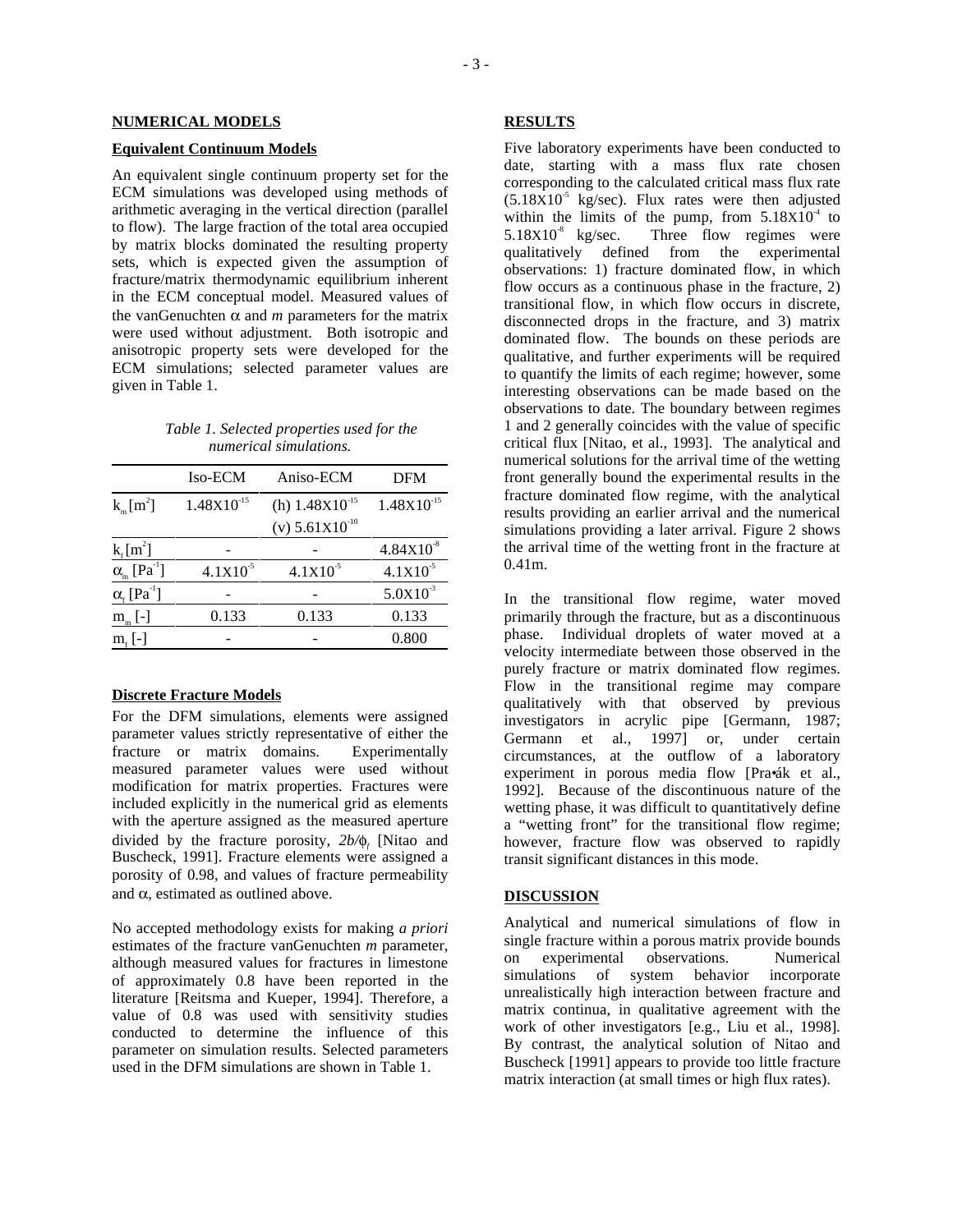#### **Equivalent Continuum Models**

An equivalent single continuum property set for the ECM simulations was developed using methods of arithmetic averaging in the vertical direction (parallel to flow). The large fraction of the total area occupied by matrix blocks dominated the resulting property sets, which is expected given the assumption of fracture/matrix thermodynamic equilibrium inherent in the ECM conceptual model. Measured values of the vanGenuchten  $\alpha$  and  $m$  parameters for the matrix were used without adjustment. Both isotropic and anisotropic property sets were developed for the ECM simulations; selected parameter values are given in Table 1.

## *Table 1. Selected properties used for the numerical simulations.*

|                                      | Iso-ECM         | Aniso-ECM                  | DFM                   |
|--------------------------------------|-----------------|----------------------------|-----------------------|
| $k_m[m^2]$                           | $1.48X10^{-15}$ | (h) $1.48X10^{-15}$        | $1.48X10^{-15}$       |
|                                      |                 | (v) $5.61 \times 10^{-10}$ |                       |
| $k_f[m^2]$                           |                 |                            | $4.84 \times 10^{-8}$ |
| $\alpha_{m}$ [Pa <sup>-1</sup> ]     | $4.1X10^{-5}$   | $4.1X10^{-5}$              | $4.1X10^{5}$          |
| $\alpha_{\rm f}$ [Pa <sup>-1</sup> ] |                 |                            | $5.0X10^{3}$          |
| $m_{m}$ [-]                          | 0.133           | 0.133                      | 0.133                 |
| $m_e$  -                             |                 |                            | 0.800                 |
|                                      |                 |                            |                       |

#### **Discrete Fracture Models**

For the DFM simulations, elements were assigned parameter values strictly representative of either the fracture or matrix domains. Experimentally measured parameter values were used without modification for matrix properties. Fractures were included explicitly in the numerical grid as elements with the aperture assigned as the measured aperture divided by the fracture porosity, *2b/*φ*<sup>f</sup>* [Nitao and Buscheck, 1991]. Fracture elements were assigned a porosity of 0.98, and values of fracture permeability and  $\alpha$ , estimated as outlined above.

No accepted methodology exists for making *a priori* estimates of the fracture vanGenuchten *m* parameter, although measured values for fractures in limestone of approximately 0.8 have been reported in the literature [Reitsma and Kueper, 1994]. Therefore, a value of 0.8 was used with sensitivity studies conducted to determine the influence of this parameter on simulation results. Selected parameters used in the DFM simulations are shown in Table 1.

### **RESULTS**

Five laboratory experiments have been conducted to date, starting with a mass flux rate chosen corresponding to the calculated critical mass flux rate  $(5.18X10<sup>-5</sup> \text{ kg/sec})$ . Flux rates were then adjusted within the limits of the pump, from  $5.18X10<sup>-4</sup>$  to  $5.18X10^{-8}$  kg/sec. Three flow regimes were qualitatively defined from the experimental observations: 1) fracture dominated flow, in which flow occurs as a continuous phase in the fracture, 2) transitional flow, in which flow occurs in discrete, disconnected drops in the fracture, and 3) matrix dominated flow. The bounds on these periods are qualitative, and further experiments will be required to quantify the limits of each regime; however, some interesting observations can be made based on the observations to date. The boundary between regimes 1 and 2 generally coincides with the value of specific critical flux [Nitao, et al., 1993]. The analytical and numerical solutions for the arrival time of the wetting front generally bound the experimental results in the fracture dominated flow regime, with the analytical results providing an earlier arrival and the numerical simulations providing a later arrival. Figure 2 shows the arrival time of the wetting front in the fracture at 0.41m.

In the transitional flow regime, water moved primarily through the fracture, but as a discontinuous phase. Individual droplets of water moved at a velocity intermediate between those observed in the purely fracture or matrix dominated flow regimes. Flow in the transitional regime may compare qualitatively with that observed by previous investigators in acrylic pipe [Germann, 1987; Germann et al., 1997] or, under certain circumstances, at the outflow of a laboratory experiment in porous media flow [Pra•ák et al., 1992]. Because of the discontinuous nature of the wetting phase, it was difficult to quantitatively define a "wetting front" for the transitional flow regime; however, fracture flow was observed to rapidly transit significant distances in this mode.

### **DISCUSSION**

Analytical and numerical simulations of flow in single fracture within a porous matrix provide bounds<br>on experimental observations. Numerical on experimental simulations of system behavior incorporate unrealistically high interaction between fracture and matrix continua, in qualitative agreement with the work of other investigators [e.g., Liu et al., 1998]. By contrast, the analytical solution of Nitao and Buscheck [1991] appears to provide too little fracture matrix interaction (at small times or high flux rates).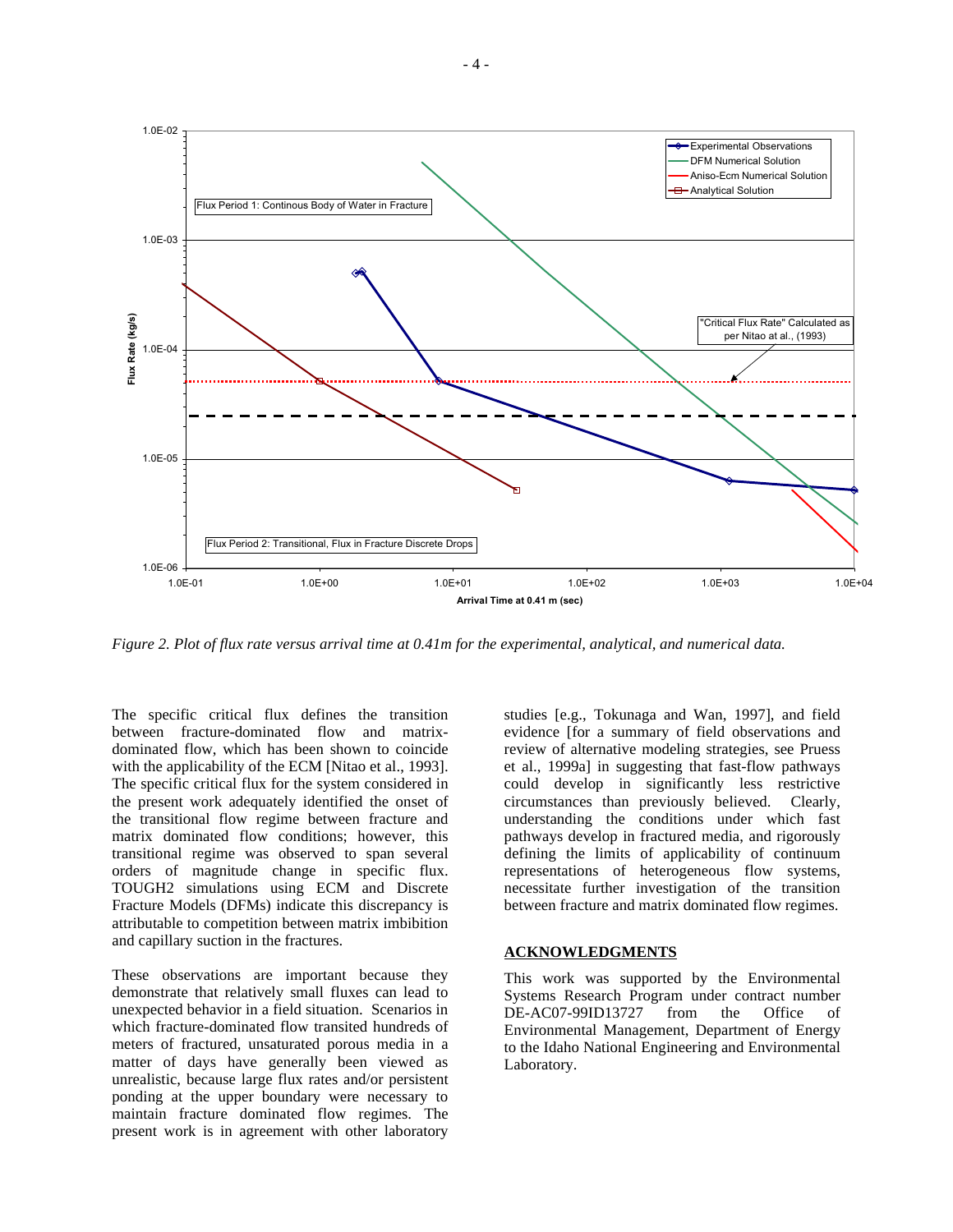

*Figure 2. Plot of flux rate versus arrival time at 0.41m for the experimental, analytical, and numerical data.* 

The specific critical flux defines the transition between fracture-dominated flow and matrixdominated flow, which has been shown to coincide with the applicability of the ECM [Nitao et al., 1993]. The specific critical flux for the system considered in the present work adequately identified the onset of the transitional flow regime between fracture and matrix dominated flow conditions; however, this transitional regime was observed to span several orders of magnitude change in specific flux. TOUGH2 simulations using ECM and Discrete Fracture Models (DFMs) indicate this discrepancy is attributable to competition between matrix imbibition and capillary suction in the fractures.

 $-4-$ 

These observations are important because they demonstrate that relatively small fluxes can lead to unexpected behavior in a field situation. Scenarios in which fracture-dominated flow transited hundreds of meters of fractured, unsaturated porous media in a matter of days have generally been viewed as unrealistic, because large flux rates and/or persistent ponding at the upper boundary were necessary to maintain fracture dominated flow regimes. The present work is in agreement with other laboratory studies [e.g., Tokunaga and Wan, 1997], and field evidence [for a summary of field observations and review of alternative modeling strategies, see Pruess et al., 1999a] in suggesting that fast-flow pathways could develop in significantly less restrictive circumstances than previously believed. Clearly, understanding the conditions under which fast pathways develop in fractured media, and rigorously defining the limits of applicability of continuum representations of heterogeneous flow systems, necessitate further investigation of the transition between fracture and matrix dominated flow regimes.

## **ACKNOWLEDGMENTS**

This work was supported by the Environmental Systems Research Program under contract number DE-AC07-99ID13727 from the Office of Environmental Management, Department of Energy to the Idaho National Engineering and Environmental Laboratory.